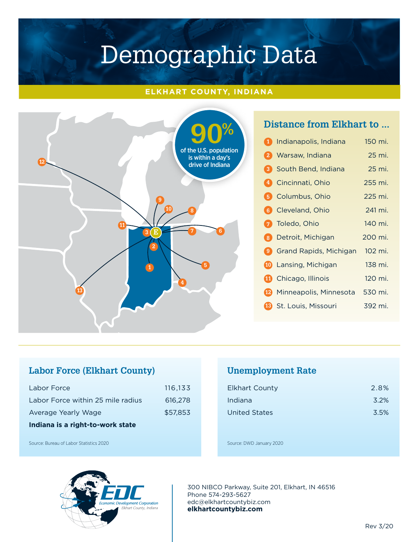#### **ELKHART COUNTY, INDIANA**



# **Distance from Elkhart to ...**

| 1) | Indianapolis, Indiana                | 150 mi. |
|----|--------------------------------------|---------|
|    | 2 Warsaw, Indiana                    | 25 mi.  |
|    | <b>3</b> South Bend, Indiana         | 25 mi.  |
|    | 4 Cincinnati, Ohio                   | 255 mi. |
|    | <b>5</b> Columbus, Ohio              | 225 mi. |
|    | <b>6</b> Cleveland, Ohio             | 241 mi. |
|    | 7 Toledo, Ohio                       | 140 mi. |
|    | 8 Detroit, Michigan                  | 200 mi. |
|    | <b>9</b> Grand Rapids, Michigan      | 102 mi. |
|    | 10 Lansing, Michigan                 | 138 mi. |
|    | <b>11</b> Chicago, Illinois          | 120 mi. |
|    | <sup>12</sup> Minneapolis, Minnesota | 530 mi. |
|    | <b>18</b> St. Louis, Missouri        | 392 mi. |

# **Labor Force (Elkhart County)**

| Indiana is a right-to-work state  |          |  |
|-----------------------------------|----------|--|
| Average Yearly Wage               | \$57,853 |  |
| Labor Force within 25 mile radius | 616.278  |  |
| Labor Force                       | 116.133  |  |

**Unemployment Rate** 

| <b>Elkhart County</b> | 2.8% |
|-----------------------|------|
| Indiana               | 3.2% |
| <b>United States</b>  | 3.5% |

Source: Bureau of Labor Statistics 2020

#### Source: DWD January 2020



300 NIBCO Parkway, Suite 201, Elkhart, IN 46516 Phone 574-293-5627 edc@elkhartcountybiz.com **elkhartcountybiz.com**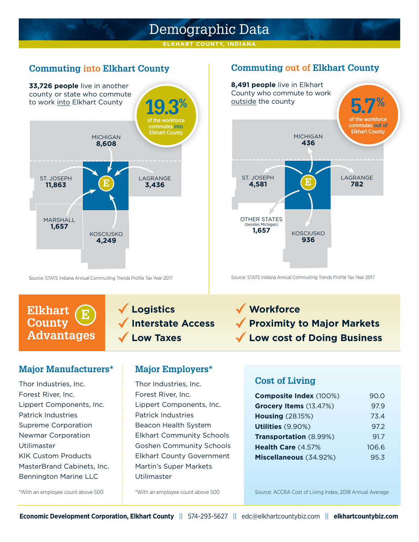**ELKHART COUNTY, INDIANA**

### **Commuting into Elkhart County**



Source: STATS Indiana Annual Commuiting Trends Profile Tax Year 2017

**E**

#### **Commuting out of Elkhart County**



Source: STATS Indiana Annual Commuiting Trends Profile Tax Year 2017

 **Logistics Interstate Access Low Taxes**

# **Proximity to Major Markets Low cost of Doing Business**

#### **Major Manufacturers\***

**Advantages**

**Elkhart County**

Thor Industries, Inc. Forest River, Inc. Lippert Components, Inc. Patrick Industries Supreme Corporation Newmar Corporation Utilimaster KIK Custom Products MasterBrand Cabinets, Inc. Bennington Marine LLC

#### **Major Employers\***

Thor Industries, Inc. Forest River, Inc. Lippert Components, Inc. Patrick Industries Beacon Health System Elkhart Community Schools Goshen Community Schools Elkhart County Government Martin's Super Markets Utilimaster

#### **Cost of Living**

**Workforce**

| Composite Index (100%)  | 90.0  |
|-------------------------|-------|
| Grocery Items (13.47%)  | 97.9  |
| <b>Housing (28.15%)</b> | 73.4  |
| Utilities (9.90%)       | 97.2  |
| Transportation (8.99%)  | 91.7  |
| Health Care (4.57%      | 106.6 |
| Miscellaneous (34.92%)  | 95.3  |

\*With an employee count above 500

\*With an employee count above 500

Source: ACCRA Cost of Living Index, 2018 Annual Average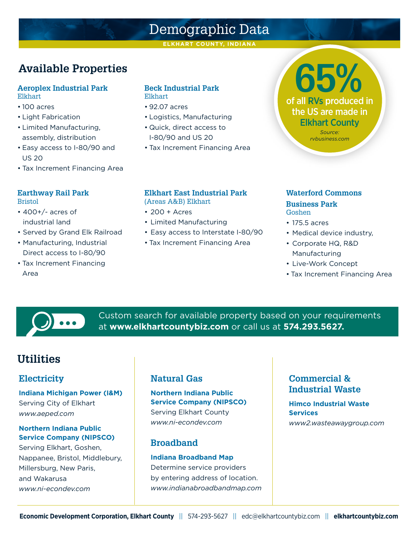**ELKHART COUNTY, INDIANA**

# **Available Properties**

#### **Aeroplex Industrial Park** Elkhart

- 100 acres
- Light Fabrication
- Limited Manufacturing, assembly, distribution
- Easy access to I-80/90 and US 20
- Tax Increment Financing Area

#### **Earthway Rail Park** Bristol

- 400+/- acres of
- industrial land
- Served by Grand Elk Railroad
- Manufacturing, Industrial Direct access to I-80/90
- Tax Increment Financing Area

#### **Beck Industrial Park** Elkhart

- 92.07 acres
- Logistics, Manufacturing
- Quick, direct access to I-80/90 and US 20
- Tax Increment Financing Area

#### **Elkhart East Industrial Park**

- (Areas A&B) Elkhart
- 200 + Acres
- Limited Manufacturing
- Easy access to Interstate I-80/90
- Tax Increment Financing Area

#### **Waterford Commons Business Park** Goshen

#### • 175.5 acres

- Medical device industry,
- Corporate HQ, R&D Manufacturing
- Live-Work Concept
- Tax Increment Financing Area



Custom search for available property based on your requirements at **www.elkhartcountybiz.com** or call us at **574.293.5627.**

# **Utilities**

# **Electricity**

**Indiana Michigan Power (I&M)** Serving City of Elkhart *www.aeped.com*

#### **Northern Indiana Public Service Company (NIPSCO)**

Serving Elkhart, Goshen, Nappanee, Bristol, Middlebury, Millersburg, New Paris, and Wakarusa *www.ni-econdev.com*

### **Natural Gas**

**Northern Indiana Public Service Company (NIPSCO)**  Serving Elkhart County *www.ni-econdev.com*

### **Broadband**

#### **Indiana Broadband Map**

Determine service providers by entering address of location. *www.indianabroadbandmap.com*

### **Commercial & Industrial Waste**

**Himco Industrial Waste Services** *www2.wasteawaygroup.com*

of all RVs produced in **65%** the US are made in Elkhart County *Source:* 

*rvbusiness.com*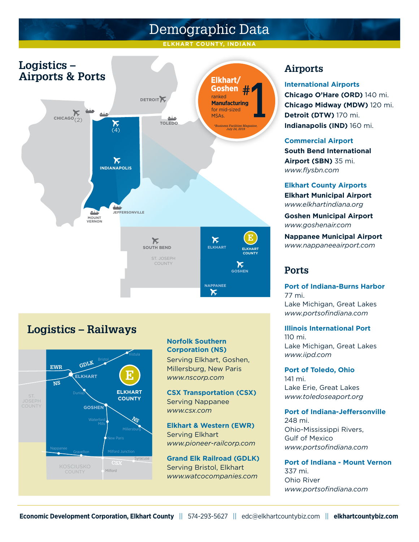**ELKHART COUNTY, INDIANA**



# **Logistics – Railways**



#### **Norfolk Southern Corporation (NS)**

Serving Elkhart, Goshen, Millersburg, New Paris *www.nscorp.com*

**CSX Transportation (CSX)** Serving Nappanee *www.csx.com*

**Elkhart & Western (EWR)** Serving Elkhart *www.pioneer-railcorp.com*

**Grand Elk Railroad (GDLK)** Serving Bristol, Elkhart *www.watcocompanies.com*

# **Airports**

**International Airports**

**Chicago O'Hare (ORD)** 140 mi. **Chicago Midway (MDW)** 120 mi. **Detroit (DTW)** 170 mi. **Indianapolis (IND)** 160 mi.

**Commercial Airport South Bend International Airport (SBN)** 35 mi. *www.flysbn.com*

**Elkhart County Airports Elkhart Municipal Airport** *www.elkhartindiana.org*

**Goshen Municipal Airport** *www.goshenair.com*

**Nappanee Municipal Airport** *www.nappaneeairport.com*

### **Ports**

**Port of Indiana-Burns Harbor**  77 mi. Lake Michigan, Great Lakes *www.portsofindiana.com*

**Illinois International Port**  110 mi. Lake Michigan, Great Lakes *www.iipd.com*

**Port of Toledo, Ohio**  141 mi. Lake Erie, Great Lakes *www.toledoseaport.org*

#### **Port of Indiana-Jeffersonville**

248 mi. Ohio-Mississippi Rivers, Gulf of Mexico *www.portsofindiana.com*

**Port of Indiana - Mount Vernon**  337 mi. Ohio River *www.portsofindiana.com*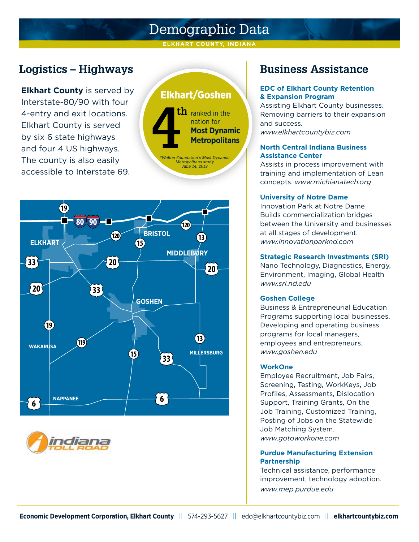#### **ELKHART COUNTY, INDIANA**

# **Logistics – Highways Business Assistance**

**Elkhart County** is served by Interstate-80/90 with four 4-entry and exit locations. Elkhart County is served by six 6 state highways and four 4 US highways. The county is also easily accessible to Interstate 69.







#### **EDC of Elkhart County Retention & Expansion Program**

Assisting Elkhart County businesses. Removing barriers to their expansion and success.

*www.elkhartcountybiz.com*

#### **North Central Indiana Business Assistance Center**

Assists in process improvement with training and implementation of Lean concepts. *www.michianatech.org*

#### **University of Notre Dame**

Innovation Park at Notre Dame Builds commercialization bridges between the University and businesses at all stages of development. *www.innovationparknd.com*

#### **Strategic Research Investments (SRI)**

Nano Technology, Diagnostics, Energy, Environment, Imaging, Global Health *www.sri.nd.edu*

#### **Goshen College**

Business & Entrepreneurial Education Programs supporting local businesses. Developing and operating business programs for local managers, employees and entrepreneurs. *www.goshen.edu*

#### **WorkOne**

Employee Recruitment, Job Fairs, Screening, Testing, WorkKeys, Job Profiles, Assessments, Dislocation Support, Training Grants, On the Job Training, Customized Training, Posting of Jobs on the Statewide Job Matching System. *www.gotoworkone.com*

#### **Purdue Manufacturing Extension Partnership**

Technical assistance, performance improvement, technology adoption. *www.mep.purdue.edu*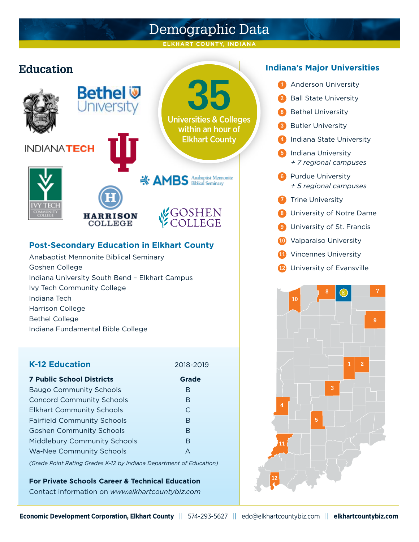**ELKHART COUNTY, INDIANA**







#### **Post-Secondary Education in Elkhart County**

Anabaptist Mennonite Biblical Seminary Goshen College Indiana University South Bend – Elkhart Campus Ivy Tech Community College Indiana Tech Harrison College Bethel College Indiana Fundamental Bible College

**HARRISON COLLEGE** 

#### **K-12 Education** 2018-2019

| <b>7 Public School Districts</b>   | <b>Grade</b> |
|------------------------------------|--------------|
| <b>Baugo Community Schools</b>     | B            |
| <b>Concord Community Schools</b>   | B            |
| <b>Elkhart Community Schools</b>   | C            |
| <b>Fairfield Community Schools</b> | R            |
| <b>Goshen Community Schools</b>    | R            |
| Middlebury Community Schools       | B            |
| <b>Wa-Nee Community Schools</b>    |              |

*(Grade Point Rating Grades K-12 by Indiana Department of Education)*

**For Private Schools Career & Technical Education** Contact information on *www.elkhartcountybiz.com*

- **<sup>1</sup>** Anderson University
- **2** Ball State University
- **<sup>8</sup>** Bethel University
- **<sup>3</sup>** Butler University
- **<sup>4</sup>** Indiana State University
- **<sup>5</sup>** Indiana University *+ 7 regional campuses*
- **<sup>6</sup>** Purdue University *+ 5 regional campuses*
- **<sup>7</sup>** Trine University
- **<sup>8</sup>** University of Notre Dame
- **9** University of St. Francis
- **<sup>10</sup>** Valparaiso University
- **<sup>11</sup>** Vincennes University
- **<sup>12</sup>** University of Evansville